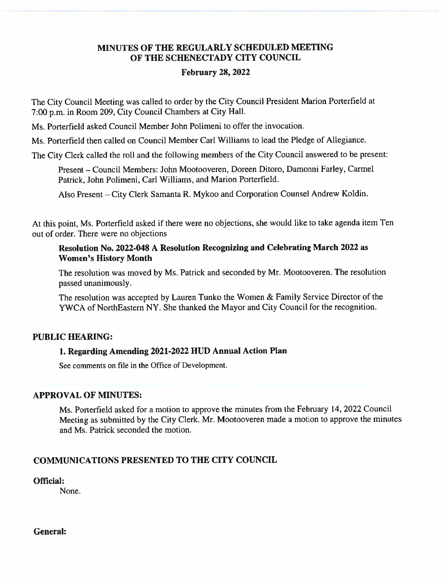## MINUTES OF THE REGULARLY SCHEDULED MEETING OF THE SCHENECTADY CITY COUNCIL

#### **February 28, 2022**

The City Council Meeting was called to order by the City Council President Marion Porterfield at 7:00 p.m. in Room 209, City Council Chambers at City Hall.

Ms. Porterfield asked Council Member John Polimeni to offer the invocation.

Ms. Porterfield then called on Council Member Carl Williams to lead the Pledge of Allegiance.

The City Clerk called the roll and the following members of the City Council answered to be present:

Present - Council Members: John Mootooveren, Doreen Ditoro, Damonni Farley, Carmel Patrick, John Polimeni, Carl Williams, and Marion Porterfield.

Also Present – City Clerk Samanta R. Mykoo and Corporation Counsel Andrew Koldin.

At this point, Ms. Porterfield asked if there were no objections, she would like to take agenda item Ten out of order. There were no objections

### Resolution No. 2022-048 A Resolution Recognizing and Celebrating March 2022 as **Women's History Month**

The resolution was moved by Ms. Patrick and seconded by Mr. Mootooveren. The resolution passed unanimously.

The resolution was accepted by Lauren Tunko the Women & Family Service Director of the YWCA of NorthEastern NY. She thanked the Mayor and City Council for the recognition.

### **PUBLIC HEARING:**

### 1. Regarding Amending 2021-2022 HUD Annual Action Plan

See comments on file in the Office of Development.

### **APPROVAL OF MINUTES:**

Ms. Porterfield asked for a motion to approve the minutes from the February 14, 2022 Council Meeting as submitted by the City Clerk. Mr. Mootooveren made a motion to approve the minutes and Ms. Patrick seconded the motion.

## **COMMUNICATIONS PRESENTED TO THE CITY COUNCIL**

Official:

None.

**General:**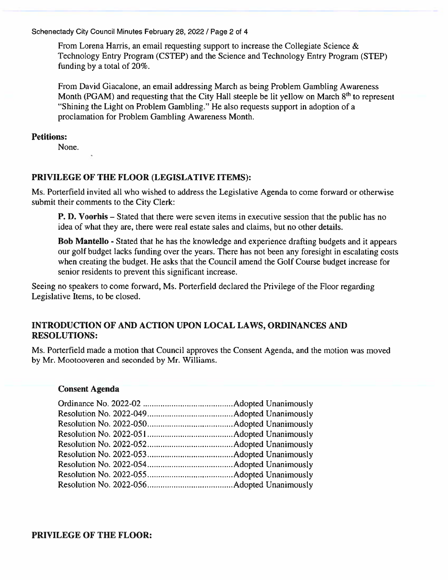Schenectady City Council Minutes February 28, 2022 / Page 2 of 4

From Lorena Harris, an email requesting support to increase the Collegiate Science  $\&$ Technology Entry Program (CSTEP) and the Science and Technology Entry Program (STEP) funding by a total of 20%.

From David Giacalone, an email addressing March as being Problem Gambling Awareness Month (PGAM) and requesting that the City Hall steeple be lit yellow on March 8<sup>th</sup> to represent "Shining the Light on Problem Gambling." He also requests support in adoption of a proclamation for Problem Gambling Awareness Month.

#### **Petitions:**

None.

### PRIVILEGE OF THE FLOOR (LEGISLATIVE ITEMS):

Ms. Porterfield invited all who wished to address the Legislative Agenda to come forward or otherwise submit their comments to the City Clerk:

**P. D. Voorhis** – Stated that there were seven items in executive session that the public has no idea of what they are, there were real estate sales and claims, but no other details.

Bob Mantello - Stated that he has the knowledge and experience drafting budgets and it appears our golf budget lacks funding over the years. There has not been any foresight in escalating costs when creating the budget. He asks that the Council amend the Golf Course budget increase for senior residents to prevent this significant increase.

Seeing no speakers to come forward, Ms. Porterfield declared the Privilege of the Floor regarding Legislative Items, to be closed.

## INTRODUCTION OF AND ACTION UPON LOCAL LAWS, ORDINANCES AND **RESOLUTIONS:**

Ms. Porterfield made a motion that Council approves the Consent Agenda, and the motion was moved by Mr. Mootooveren and seconded by Mr. Williams.

#### **Consent Agenda**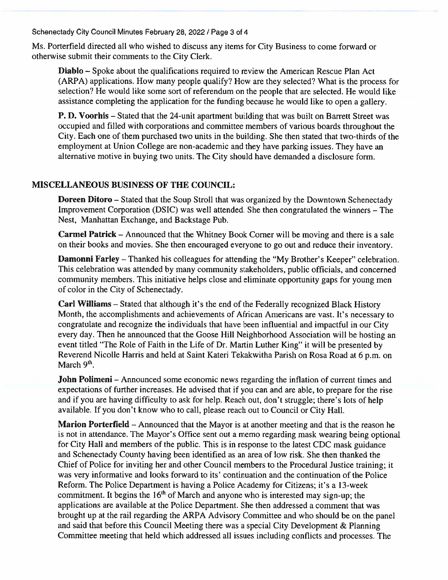Schenectady City Council Minutes February 28, 2022 / Page 3 of 4

Ms. Porterfield directed all who wished to discuss any items for City Business to come forward or otherwise submit their comments to the City Clerk.

Diablo - Spoke about the qualifications required to review the American Rescue Plan Act (ARPA) applications. How many people qualify? How are they selected? What is the process for selection? He would like some sort of referendum on the people that are selected. He would like assistance completing the application for the funding because he would like to open a gallery.

P. D. Voorhis – Stated that the 24-unit apartment building that was built on Barrett Street was occupied and filled with corporations and committee members of various boards throughout the City. Each one of them purchased two units in the building. She then stated that two-thirds of the employment at Union College are non-academic and they have parking issues. They have an alternative motive in buying two units. The City should have demanded a disclosure form.

#### **MISCELLANEOUS BUSINESS OF THE COUNCIL:**

**Doreen Ditoro** – Stated that the Soup Stroll that was organized by the Downtown Schenectady Improvement Corporation (DSIC) was well attended. She then congratulated the winners – The Nest, Manhattan Exchange, and Backstage Pub.

**Carmel Patrick** – Announced that the Whitney Book Corner will be moving and there is a sale on their books and movies. She then encouraged everyone to go out and reduce their inventory.

**Damonni Farley** – Thanked his colleagues for attending the "My Brother's Keeper" celebration. This celebration was attended by many community stakeholders, public officials, and concerned community members. This initiative helps close and eliminate opportunity gaps for young men of color in the City of Schenectady.

Carl Williams – Stated that although it's the end of the Federally recognized Black History Month, the accomplishments and achievements of African Americans are vast. It's necessary to congratulate and recognize the individuals that have been influential and impactful in our City every day. Then he announced that the Goose Hill Neighborhood Association will be hosting an event titled "The Role of Faith in the Life of Dr. Martin Luther King" it will be presented by Reverend Nicolle Harris and held at Saint Kateri Tekakwitha Parish on Rosa Road at 6 p.m. on March  $9<sup>th</sup>$ .

**John Polimeni** – Announced some economic news regarding the inflation of current times and expectations of further increases. He advised that if you can and are able, to prepare for the rise and if you are having difficulty to ask for help. Reach out, don't struggle; there's lots of help available. If you don't know who to call, please reach out to Council or City Hall.

Marion Porterfield – Announced that the Mayor is at another meeting and that is the reason he is not in attendance. The Mayor's Office sent out a memo regarding mask wearing being optional for City Hall and members of the public. This is in response to the latest CDC mask guidance and Schenectady County having been identified as an area of low risk. She then thanked the Chief of Police for inviting her and other Council members to the Procedural Justice training; it was very informative and looks forward to its' continuation and the continuation of the Police Reform. The Police Department is having a Police Academy for Citizens; it's a 13-week commitment. It begins the 16<sup>th</sup> of March and anyone who is interested may sign-up; the applications are available at the Police Department. She then addressed a comment that was brought up at the rail regarding the ARPA Advisory Committee and who should be on the panel and said that before this Council Meeting there was a special City Development & Planning Committee meeting that held which addressed all issues including conflicts and processes. The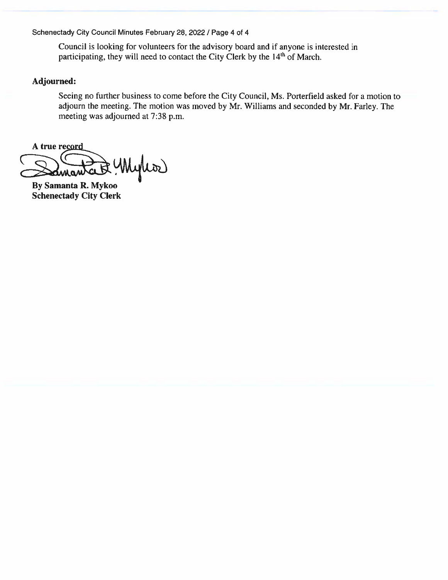Schenectady City Council Minutes February 28, 2022 / Page 4 of 4

Council is looking for volunteers for the advisory board and if anyone is interested in participating, they will need to contact the City Clerk by the 14<sup>th</sup> of March.

### Adjourned:

Seeing no further business to come before the City Council, Ms. Porterfield asked for a motion to adjourn the meeting. The motion was moved by Mr. Williams and seconded by Mr. Farley. The meeting was adjourned at 7:38 p.m.

A true record cunquoi

**By Samanta R. Mykoo Schenectady City Clerk**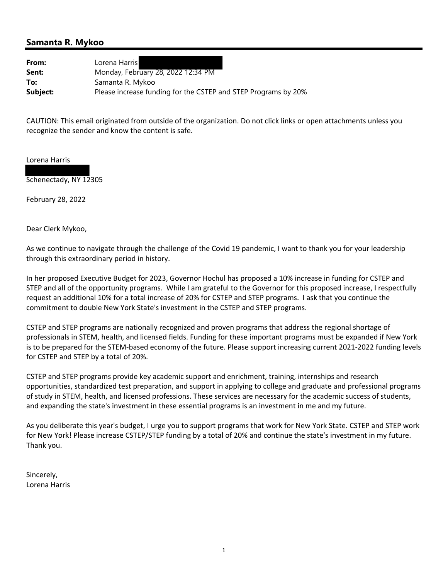## **Samanta R. Mykoo**

| From:    | Lorena Harris                                                  |
|----------|----------------------------------------------------------------|
| Sent:    | Monday, February 28, 2022 12:34 PM                             |
| To:      | Samanta R. Mykoo                                               |
| Subject: | Please increase funding for the CSTEP and STEP Programs by 20% |

CAUTION: This email originated from outside of the organization. Do not click links or open attachments unless you recognize the sender and know the content is safe.

Lorena Harris



February 28, 2022

Dear Clerk Mykoo,

As we continue to navigate through the challenge of the Covid 19 pandemic, I want to thank you for your leadership through this extraordinary period in history.

In her proposed Executive Budget for 2023, Governor Hochul has proposed a 10% increase in funding for CSTEP and STEP and all of the opportunity programs. While I am grateful to the Governor for this proposed increase, I respectfully request an additional 10% for a total increase of 20% for CSTEP and STEP programs. I ask that you continue the commitment to double New York State's investment in the CSTEP and STEP programs.

CSTEP and STEP programs are nationally recognized and proven programs that address the regional shortage of professionals in STEM, health, and licensed fields. Funding for these important programs must be expanded if New York is to be prepared for the STEM‐based economy of the future. Please support increasing current 2021‐2022 funding levels for CSTEP and STEP by a total of 20%.

CSTEP and STEP programs provide key academic support and enrichment, training, internships and research opportunities, standardized test preparation, and support in applying to college and graduate and professional programs of study in STEM, health, and licensed professions. These services are necessary for the academic success of students, and expanding the state's investment in these essential programs is an investment in me and my future.

As you deliberate this year's budget, I urge you to support programs that work for New York State. CSTEP and STEP work for New York! Please increase CSTEP/STEP funding by a total of 20% and continue the state's investment in my future. Thank you.

Sincerely, Lorena Harris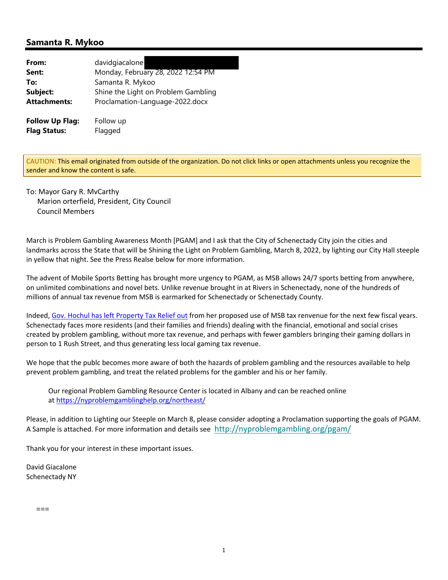### **Samanta R. Mykoo**

| From:                  | davidgiacalone                      |
|------------------------|-------------------------------------|
| Sent:                  | Monday, February 28, 2022 12:54 PM  |
| To:                    | Samanta R. Mykoo                    |
| Subject:               | Shine the Light on Problem Gambling |
| <b>Attachments:</b>    | Proclamation-Language-2022.docx     |
| <b>Follow Up Flag:</b> | Follow up                           |
| <b>Flag Status:</b>    | Flagged                             |

CAUTION: This email originated from outside of the organization. Do not click links or open attachments unless you recognize the sender and know the content is safe.

To: Mayor Gary R. MvCarthy Marion orterfield, President, City Council Council Members

March is Problem Gambling Awareness Month [PGAM] and I ask that the City of Schenectady City join the cities and landmarks across the State that will be Shining the Light on Problem Gambling, March 8, 2022, by lighting our City Hall steeple in yellow that night. See the Press Realse below for more information.

The advent of Mobile Sports Betting has brought more urgency to PGAM, as MSB allows 24/7 sports betting from anywhere, on unlimited combinations and novel bets. Unlike revenue brought in at Rivers in Schenectady, none of the hundreds of millions of annual tax revenue from MSB is earmarked for Schenectady or Schenectady County.

Indeed, Gov. Hochul has left Property Tax Relief out from her proposed use of MSB tax renvenue for the next few fiscal years. Schenectady faces more residents (and their families and friends) dealing with the financial, emotional and social crises created by problem gambling, without more tax revenue, and perhaps with fewer gamblers bringing their gaming dollars in person to 1 Rush Street, and thus generating less local gaming tax revenue.

We hope that the publc becomes more aware of both the hazards of problem gambling and the resources available to help prevent problem gambling, and treat the related problems for the gambler and his or her family.

Our regional Problem Gambling Resource Center is located in Albany and can be reached online at https://nyproblemgamblinghelp.org/northeast/

Please, in addition to Lighting our Steeple on March 8, please consider adopting a Proclamation supporting the goals of PGAM. A Sample is attached. For more information and details see http://nyproblemgambling.org/pgam/

Thank you for your interest in these important issues.

David Giacalone Schenectady NY

===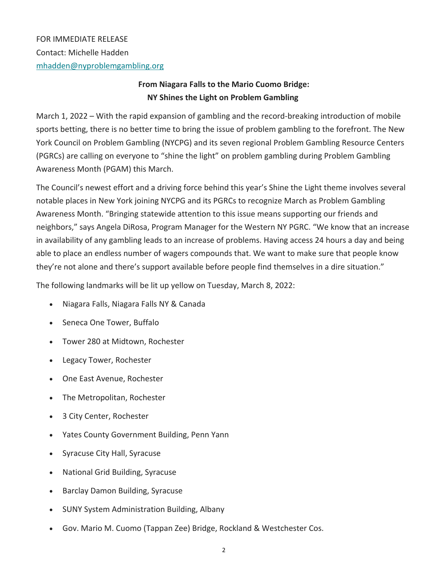# **From Niagara Falls to the Mario Cuomo Bridge: NY Shines the Light on Problem Gambling**

March 1, 2022 – With the rapid expansion of gambling and the record-breaking introduction of mobile sports betting, there is no better time to bring the issue of problem gambling to the forefront. The New York Council on Problem Gambling (NYCPG) and its seven regional Problem Gambling Resource Centers (PGRCs) are calling on everyone to "shine the light" on problem gambling during Problem Gambling Awareness Month (PGAM) this March.

The Council's newest effort and a driving force behind this year's Shine the Light theme involves several notable places in New York joining NYCPG and its PGRCs to recognize March as Problem Gambling Awareness Month. "Bringing statewide attention to this issue means supporting our friends and neighbors," says Angela DiRosa, Program Manager for the Western NY PGRC. "We know that an increase in availability of any gambling leads to an increase of problems. Having access 24 hours a day and being able to place an endless number of wagers compounds that. We want to make sure that people know they're not alone and there's support available before people find themselves in a dire situation."

The following landmarks will be lit up yellow on Tuesday, March 8, 2022:

- Niagara Falls, Niagara Falls NY & Canada
- Seneca One Tower, Buffalo
- Tower 280 at Midtown, Rochester
- Legacy Tower, Rochester
- One East Avenue, Rochester
- The Metropolitan, Rochester
- 3 City Center, Rochester
- Yates County Government Building, Penn Yann
- Syracuse City Hall, Syracuse
- National Grid Building, Syracuse
- Barclay Damon Building, Syracuse
- SUNY System Administration Building, Albany
- Gov. Mario M. Cuomo (Tappan Zee) Bridge, Rockland & Westchester Cos.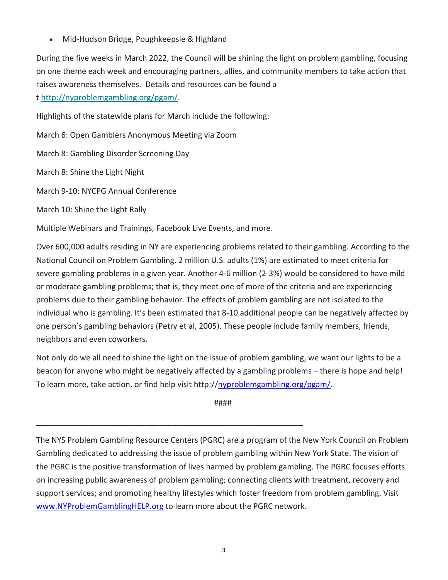• Mid-Hudson Bridge, Poughkeepsie & Highland

During the five weeks in March 2022, the Council will be shining the light on problem gambling, focusing on one theme each week and encouraging partners, allies, and community members to take action that raises awareness themselves. Details and resources can be found a t http://nyproblemgambling.org/pgam/.

Highlights of the statewide plans for March include the following:

March 6: Open Gamblers Anonymous Meeting via Zoom

March 8: Gambling Disorder Screening Day

March 8: Shine the Light Night

March 9‐10: NYCPG Annual Conference

March 10: Shine the Light Rally

Multiple Webinars and Trainings, Facebook Live Events, and more.

\_\_\_\_\_\_\_\_\_\_\_\_\_\_\_\_\_\_\_\_\_\_\_\_\_\_\_\_\_\_\_\_\_\_\_\_\_\_\_\_\_\_\_\_\_\_\_\_\_\_\_\_\_\_\_\_\_\_\_\_\_

Over 600,000 adults residing in NY are experiencing problems related to their gambling. According to the National Council on Problem Gambling, 2 million U.S. adults (1%) are estimated to meet criteria for severe gambling problems in a given year. Another 4‐6 million (2‐3%) would be considered to have mild or moderate gambling problems; that is, they meet one of more of the criteria and are experiencing problems due to their gambling behavior. The effects of problem gambling are not isolated to the individual who is gambling. It's been estimated that 8‐10 additional people can be negatively affected by one person's gambling behaviors (Petry et al, 2005). These people include family members, friends, neighbors and even coworkers.

Not only do we all need to shine the light on the issue of problem gambling, we want our lights to be a beacon for anyone who might be negatively affected by a gambling problems – there is hope and help! To learn more, take action, or find help visit http://nyproblemgambling.org/pgam/.

####

The NYS Problem Gambling Resource Centers (PGRC) are a program of the New York Council on Problem Gambling dedicated to addressing the issue of problem gambling within New York State. The vision of the PGRC is the positive transformation of lives harmed by problem gambling. The PGRC focuses efforts on increasing public awareness of problem gambling; connecting clients with treatment, recovery and support services; and promoting healthy lifestyles which foster freedom from problem gambling. Visit www.NYProblemGamblingHELP.org to learn more about the PGRC network.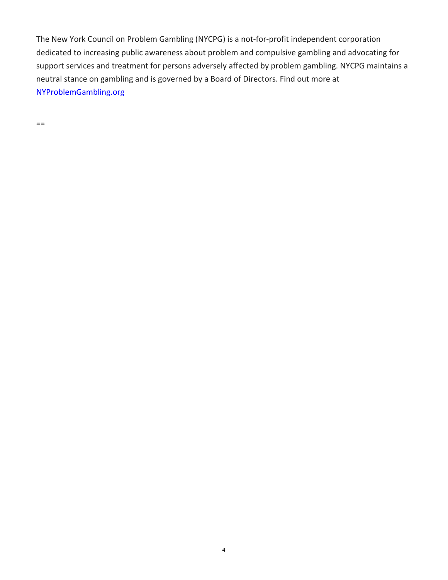The New York Council on Problem Gambling (NYCPG) is a not‐for‐profit independent corporation dedicated to increasing public awareness about problem and compulsive gambling and advocating for support services and treatment for persons adversely affected by problem gambling. NYCPG maintains a neutral stance on gambling and is governed by a Board of Directors. Find out more at NYProblemGambling.org

==